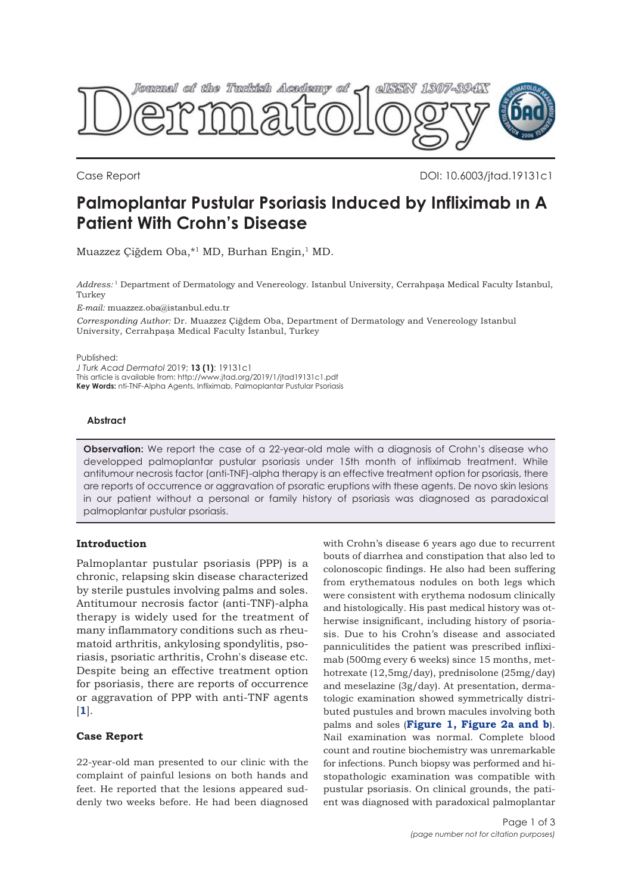

Case Report DOI: 10.6003/jtad.19131c1

# **Palmoplantar Pustular Psoriasis Induced by Infliximab ın A Patient With Crohn's Disease**

Muazzez Çiğdem Oba,\*1 MD, Burhan Engin,1 MD.

*Address:* <sup>1</sup> Department of Dermatology and Venereology. Istanbul University, Cerrahpaşa Medical Faculty İstanbul, Turkey

*E-mail:* muazzez.oba@istanbul.edu.tr

*Corresponding Author:* Dr. Muazzez Çiğdem Oba, Department of Dermatology and Venereology Istanbul University, Cerrahpaşa Medical Faculty İstanbul, Turkey

Published:

*J Turk Acad Dermatol* 2019; **13 (1)**: 19131c1 This article is available from: http://www.jtad.org/2019/1/jtad19131c1.pdf **Key Words:** nti-TNF-Alpha Agents, Infliximab, Palmoplantar Pustular Psoriasis

### **Abstract**

**Observation:** We report the case of a 22-year-old male with a diagnosis of Crohn's disease who developped palmoplantar pustular psoriasis under 15th month of infliximab treatment. While antitumour necrosis factor (anti-TNF)-alpha therapy is an effective treatment option for psoriasis, there are reports of occurrence or aggravation of psoratic eruptions with these agents. De novo skin lesions in our patient without a personal or family history of psoriasis was diagnosed as paradoxical palmoplantar pustular psoriasis.

## **Introduction**

Palmoplantar pustular psoriasis (PPP) is a chronic, relapsing skin disease characterized by sterile pustules involving palms and soles. Antitumour necrosis factor (anti-TNF)-alpha therapy is widely used for the treatment of many inflammatory conditions such as rheumatoid arthritis, ankylosing spondylitis, psoriasis, psoriatic arthritis, Crohn's disease etc. Despite being an effective treatment option for psoriasis, there are reports of occurrence or aggravation of PPP with anti-TNF agents [**[1](#page-2-0)**].

### **Case Report**

22-year-old man presented to our clinic with the complaint of painful lesions on both hands and feet. He reported that the lesions appeared suddenly two weeks before. He had been diagnosed

with Crohn's disease 6 years ago due to recurrent bouts of diarrhea and constipation that also led to colonoscopic findings. He also had been suffering from erythematous nodules on both legs which were consistent with erythema nodosum clinically and histologically. His past medical history was otherwise insignificant, including history of psoriasis. Due to his Crohn's disease and associated panniculitides the patient was prescribed infliximab (500mg every 6 weeks) since 15 months, methotrexate (12,5mg/day), prednisolone (25mg/day) and meselazine (3g/day). At presentation, dermatologic examination showed symmetrically distributed pustules and brown macules involving both palms and soles (**[Figure 1,](#page-1-0) [Figure 2a and b](#page-1-0)**). Nail examination was normal. Complete blood count and routine biochemistry was unremarkable for infections. Punch biopsy was performed and histopathologic examination was compatible with pustular psoriasis. On clinical grounds, the patient was diagnosed with paradoxical palmoplantar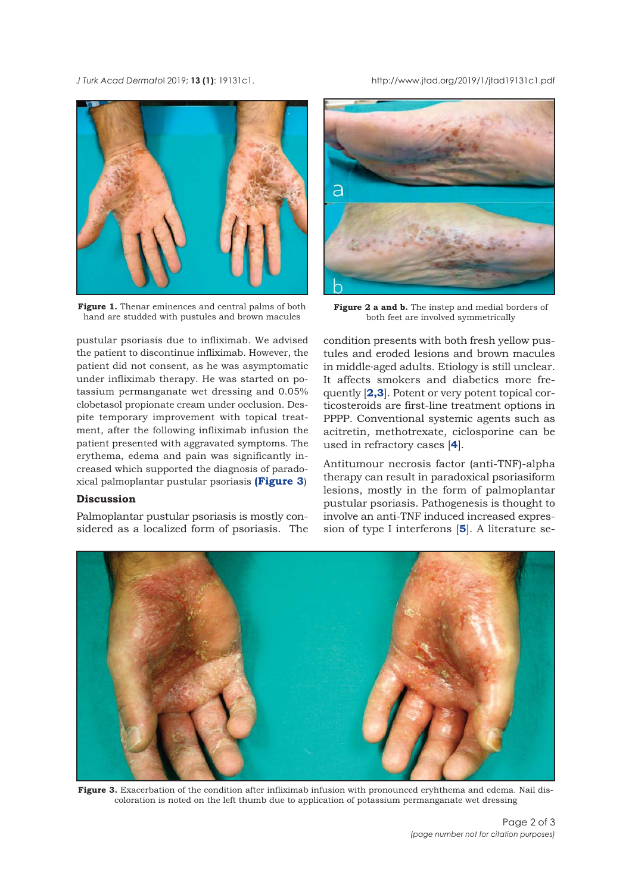<span id="page-1-0"></span>*J Turk Acad Dermato*l 2019; **13 (1)**: 19131c1. http://www.jtad.org/2019/1/jtad19131c1.pdf



Figure 1. Thenar eminences and central palms of both hand are studded with pustules and brown macules

pustular psoriasis due to infliximab. We advised the patient to discontinue infliximab. However, the patient did not consent, as he was asymptomatic under infliximab therapy. He was started on potassium permanganate wet dressing and 0.05% clobetasol propionate cream under occlusion. Despite temporary improvement with topical treatment, after the following infliximab infusion the patient presented with aggravated symptoms. The erythema, edema and pain was significantly increased which supported the diagnosis of paradoxical palmoplantar pustular psoriasis **(Figure 3**)

#### **Discussion**

Palmoplantar pustular psoriasis is mostly considered as a localized form of psoriasis. The



**Figure 2 a and b.** The instep and medial borders of both feet are involved symmetrically

condition presents with both fresh yellow pustules and eroded lesions and brown macules in middle-aged adults. Etiology is still unclear. It affects smokers and diabetics more frequently [**[2,3](#page-2-0)**]. Potent or very potent topical corticosteroids are first-line treatment options in PPPP. Conventional systemic agents such as acitretin, methotrexate, ciclosporine can be used in refractory cases [**[4](#page-2-0)**].

Antitumour necrosis factor (anti-TNF)-alpha therapy can result in paradoxical psoriasiform lesions, mostly in the form of palmoplantar pustular psoriasis. Pathogenesis is thought to involve an anti-TNF induced increased expression of type I interferons [**[5](#page-2-0)**]. A literature se-



**Figure 3.** Exacerbation of the condition after infliximab infusion with pronounced eryhthema and edema. Nail discoloration is noted on the left thumb due to application of potassium permanganate wet dressing